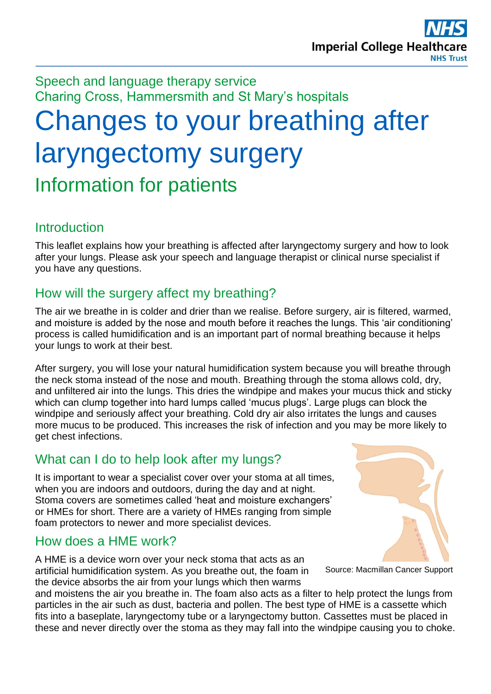Speech and language therapy service Charing Cross, Hammersmith and St Mary's hospitals

# Changes to your breathing after laryngectomy surgery Information for patients

## **Introduction**

This leaflet explains how your breathing is affected after laryngectomy surgery and how to look after your lungs. Please ask your speech and language therapist or clinical nurse specialist if you have any questions.

# How will the surgery affect my breathing?

The air we breathe in is colder and drier than we realise. Before surgery, air is filtered, warmed, and moisture is added by the nose and mouth before it reaches the lungs. This 'air conditioning' process is called humidification and is an important part of normal breathing because it helps your lungs to work at their best.

After surgery, you will lose your natural humidification system because you will breathe through the neck stoma instead of the nose and mouth. Breathing through the stoma allows cold, dry, and unfiltered air into the lungs. This dries the windpipe and makes your mucus thick and sticky which can clump together into hard lumps called 'mucus plugs'. Large plugs can block the windpipe and seriously affect your breathing. Cold dry air also irritates the lungs and causes more mucus to be produced. This increases the risk of infection and you may be more likely to get chest infections.

## What can I do to help look after my lungs?

It is important to wear a specialist cover over your stoma at all times, when you are indoors and outdoors, during the day and at night. Stoma covers are sometimes called 'heat and moisture exchangers' or HMEs for short. There are a variety of HMEs ranging from simple foam protectors to newer and more specialist devices.

## How does a HME work?

A HME is a device worn over your neck stoma that acts as an artificial humidification system. As you breathe out, the foam in the device absorbs the air from your lungs which then warms

and moistens the air you breathe in. The foam also acts as a filter to help protect the lungs from particles in the air such as dust, bacteria and pollen. The best type of HME is a cassette which fits into a baseplate, laryngectomy tube or a laryngectomy button. Cassettes must be placed in these and never directly over the stoma as they may fall into the windpipe causing you to choke.



Source: Macmillan Cancer Support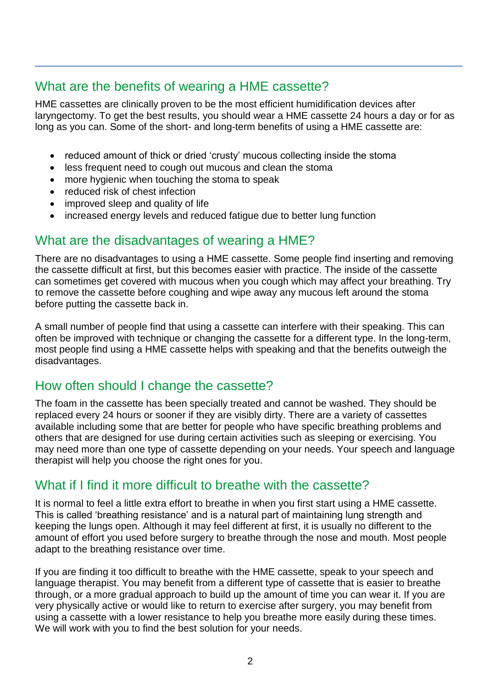## What are the benefits of wearing a HME cassette?

HME cassettes are clinically proven to be the most efficient humidification devices after laryngectomy. To get the best results, you should wear a HME cassette 24 hours a day or for as long as you can. Some of the short- and long-term benefits of using a HME cassette are:

- reduced amount of thick or dried 'crusty' mucous collecting inside the stoma
- less frequent need to cough out mucous and clean the stoma
- more hygienic when touching the stoma to speak
- reduced risk of chest infection
- improved sleep and quality of life
- increased energy levels and reduced fatigue due to better lung function

## What are the disadvantages of wearing a HME?

There are no disadvantages to using a HME cassette. Some people find inserting and removing the cassette difficult at first, but this becomes easier with practice. The inside of the cassette can sometimes get covered with mucous when you cough which may affect your breathing. Try to remove the cassette before coughing and wipe away any mucous left around the stoma before putting the cassette back in.

A small number of people find that using a cassette can interfere with their speaking. This can often be improved with technique or changing the cassette for a different type. In the long-term, most people find using a HME cassette helps with speaking and that the benefits outweigh the disadvantages.

## How often should I change the cassette?

The foam in the cassette has been specially treated and cannot be washed. They should be replaced every 24 hours or sooner if they are visibly dirty. There are a variety of cassettes available including some that are better for people who have specific breathing problems and others that are designed for use during certain activities such as sleeping or exercising. You may need more than one type of cassette depending on your needs. Your speech and language therapist will help you choose the right ones for you.

#### What if I find it more difficult to breathe with the cassette?

It is normal to feel a little extra effort to breathe in when you first start using a HME cassette. This is called 'breathing resistance' and is a natural part of maintaining lung strength and keeping the lungs open. Although it may feel different at first, it is usually no different to the amount of effort you used before surgery to breathe through the nose and mouth. Most people adapt to the breathing resistance over time.

If you are finding it too difficult to breathe with the HME cassette, speak to your speech and language therapist. You may benefit from a different type of cassette that is easier to breathe through, or a more gradual approach to build up the amount of time you can wear it. If you are very physically active or would like to return to exercise after surgery, you may benefit from using a cassette with a lower resistance to help you breathe more easily during these times. We will work with you to find the best solution for your needs.